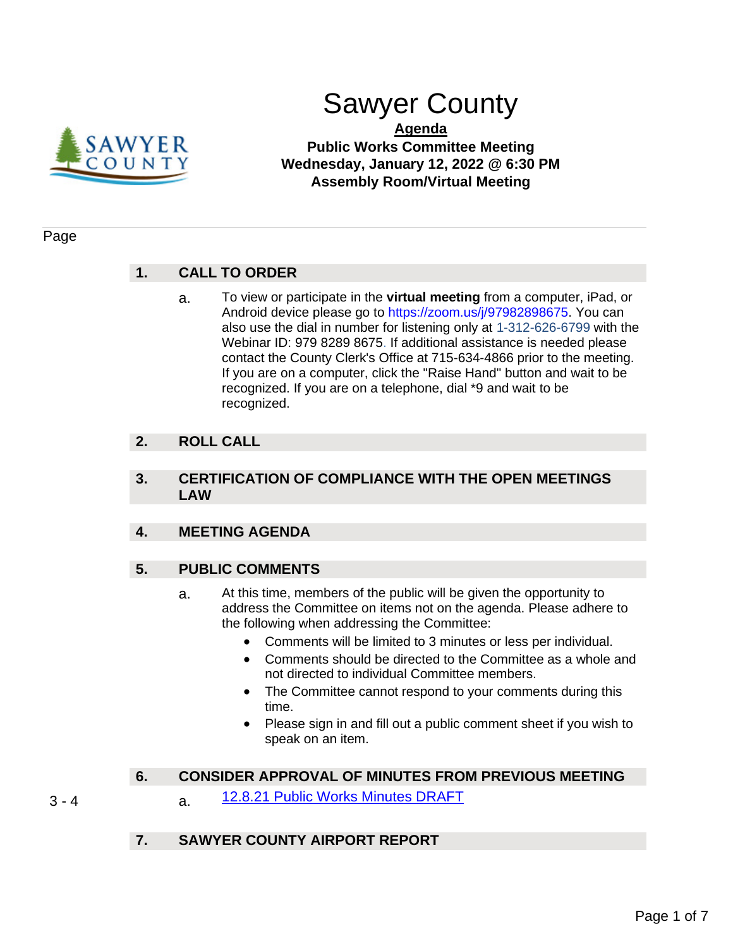

# Sawyer County

### **Agenda Public Works Committee Meeting Wednesday, January 12, 2022 @ 6:30 PM Assembly Room/Virtual Meeting**

#### Page

# **1. CALL TO ORDER**

a. To view or participate in the **virtual meeting** from a computer, iPad, or Android device please go to https://zoom.us/j/97982898675. You can also use the dial in number for listening only at 1-312-626-6799 with the Webinar ID: 979 8289 8675. If additional assistance is needed please contact the County Clerk's Office at 715-634-4866 prior to the meeting. If you are on a computer, click the "Raise Hand" button and wait to be recognized. If you are on a telephone, dial \*9 and wait to be recognized.

## **2. ROLL CALL**

#### **3. CERTIFICATION OF COMPLIANCE WITH THE OPEN MEETINGS LAW**

#### **4. MEETING AGENDA**

#### **5. PUBLIC COMMENTS**

- a. At this time, members of the public will be given the opportunity to address the Committee on items not on the agenda. Please adhere to the following when addressing the Committee:
	- Comments will be limited to 3 minutes or less per individual.
	- Comments should be directed to the Committee as a whole and not directed to individual Committee members.
	- The Committee cannot respond to your comments during this time.
	- Please sign in and fill out a public comment sheet if you wish to speak on an item.

#### **6. CONSIDER APPROVAL OF MINUTES FROM PREVIOUS MEETING**

3 - 4 a. [12.8.21 Public Works Minutes DRAFT](#page-2-0)

#### **7. SAWYER COUNTY AIRPORT REPORT**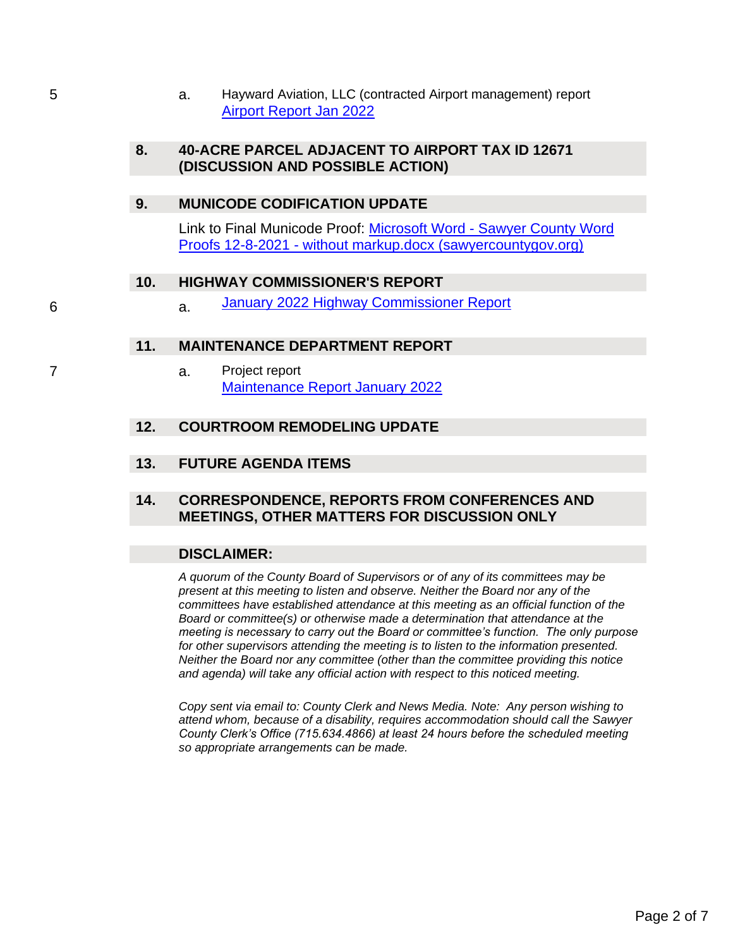5 a. Hayward Aviation, LLC (contracted Airport management) report [Airport Report Jan 2022](#page-4-0)

#### **8. 40-ACRE PARCEL ADJACENT TO AIRPORT TAX ID 12671 (DISCUSSION AND POSSIBLE ACTION)**

#### **9. MUNICODE CODIFICATION UPDATE**

Link to Final Municode Proof: Microsoft Word - [Sawyer County Word](https://sawyercountygov.org/ArchiveCenter/ViewFile/Item/460)  Proofs 12-8-2021 - [without markup.docx \(sawyercountygov.org\)](https://sawyercountygov.org/ArchiveCenter/ViewFile/Item/460)

#### **10. HIGHWAY COMMISSIONER'S REPORT**

6 a. [January 2022 Highway Commissioner Report](#page-5-0)

#### **11. MAINTENANCE DEPARTMENT REPORT**

7 a. Project report [Maintenance Report January 2022](#page-6-0)

#### **12. COURTROOM REMODELING UPDATE**

**13. FUTURE AGENDA ITEMS**

#### **14. CORRESPONDENCE, REPORTS FROM CONFERENCES AND MEETINGS, OTHER MATTERS FOR DISCUSSION ONLY**

#### **DISCLAIMER:**

*A quorum of the County Board of Supervisors or of any of its committees may be present at this meeting to listen and observe. Neither the Board nor any of the committees have established attendance at this meeting as an official function of the Board or committee(s) or otherwise made a determination that attendance at the meeting is necessary to carry out the Board or committee's function. The only purpose for other supervisors attending the meeting is to listen to the information presented. Neither the Board nor any committee (other than the committee providing this notice and agenda) will take any official action with respect to this noticed meeting.*

*Copy sent via email to: County Clerk and News Media. Note: Any person wishing to attend whom, because of a disability, requires accommodation should call the Sawyer County Clerk's Office (715.634.4866) at least 24 hours before the scheduled meeting so appropriate arrangements can be made.*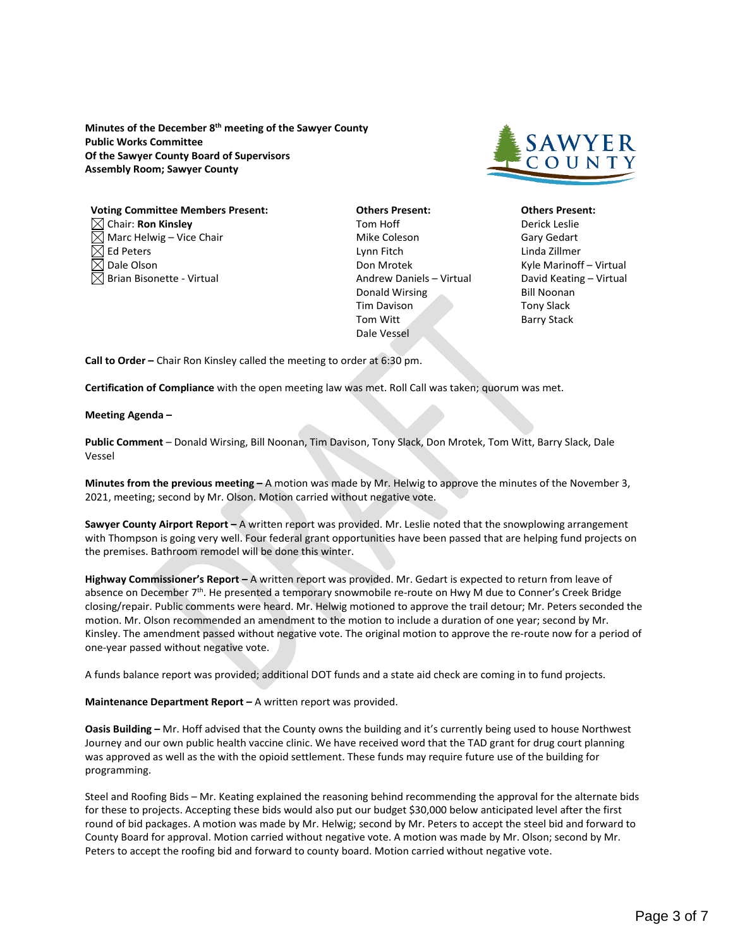<span id="page-2-0"></span>**Minutes of the December 8th meeting of the Sawyer County Public Works Committee Of the Sawyer County Board of Supervisors Assembly Room; Sawyer County**



#### **Voting Committee Members Present: Others Present: Others Present:** Chair: **Ron Kinsley** Tom Hoff Derick Leslie

- Marc Helwig Vice Chair **Mike Coleson** Mike Coleson Gary Gedart  $\boxtimes$  Ed Peters  $\blacksquare$  Ed Peters  $\blacksquare$  Linda Zillmer  $\boxtimes$  Dale Olson Don Mrotek New York Marinoff – Virtual
- $\boxtimes$  Brian Bisonette Virtual  $\blacksquare$  Andrew Daniels Virtual David Keating Virtual Donald Wirsing Bill Noonan Tim Davison **Tony Slack** Tom Witt Barry Stack Dale Vessel

**Call to Order –** Chair Ron Kinsley called the meeting to order at 6:30 pm.

**Certification of Compliance** with the open meeting law was met. Roll Call was taken; quorum was met.

**Meeting Agenda –**

**Public Comment** – Donald Wirsing, Bill Noonan, Tim Davison, Tony Slack, Don Mrotek, Tom Witt, Barry Slack, Dale Vessel

**Minutes from the previous meeting –** A motion was made by Mr. Helwig to approve the minutes of the November 3, 2021, meeting; second by Mr. Olson. Motion carried without negative vote.

**Sawyer County Airport Report –** A written report was provided. Mr. Leslie noted that the snowplowing arrangement with Thompson is going very well. Four federal grant opportunities have been passed that are helping fund projects on the premises. Bathroom remodel will be done this winter.

**Highway Commissioner's Report –** A written report was provided. Mr. Gedart is expected to return from leave of absence on December 7<sup>th</sup>. He presented a temporary snowmobile re-route on Hwy M due to Conner's Creek Bridge closing/repair. Public comments were heard. Mr. Helwig motioned to approve the trail detour; Mr. Peters seconded the motion. Mr. Olson recommended an amendment to the motion to include a duration of one year; second by Mr. Kinsley. The amendment passed without negative vote. The original motion to approve the re-route now for a period of one-year passed without negative vote.

A funds balance report was provided; additional DOT funds and a state aid check are coming in to fund projects.

**Maintenance Department Report –** A written report was provided.

**Oasis Building –** Mr. Hoff advised that the County owns the building and it's currently being used to house Northwest Journey and our own public health vaccine clinic. We have received word that the TAD grant for drug court planning was approved as well as the with the opioid settlement. These funds may require future use of the building for programming.

Steel and Roofing Bids – Mr. Keating explained the reasoning behind recommending the approval for the alternate bids for these to projects. Accepting these bids would also put our budget \$30,000 below anticipated level after the first round of bid packages. A motion was made by Mr. Helwig; second by Mr. Peters to accept the steel bid and forward to County Board for approval. Motion carried without negative vote. A motion was made by Mr. Olson; second by Mr. Peters to accept the roofing bid and forward to county board. Motion carried without negative vote.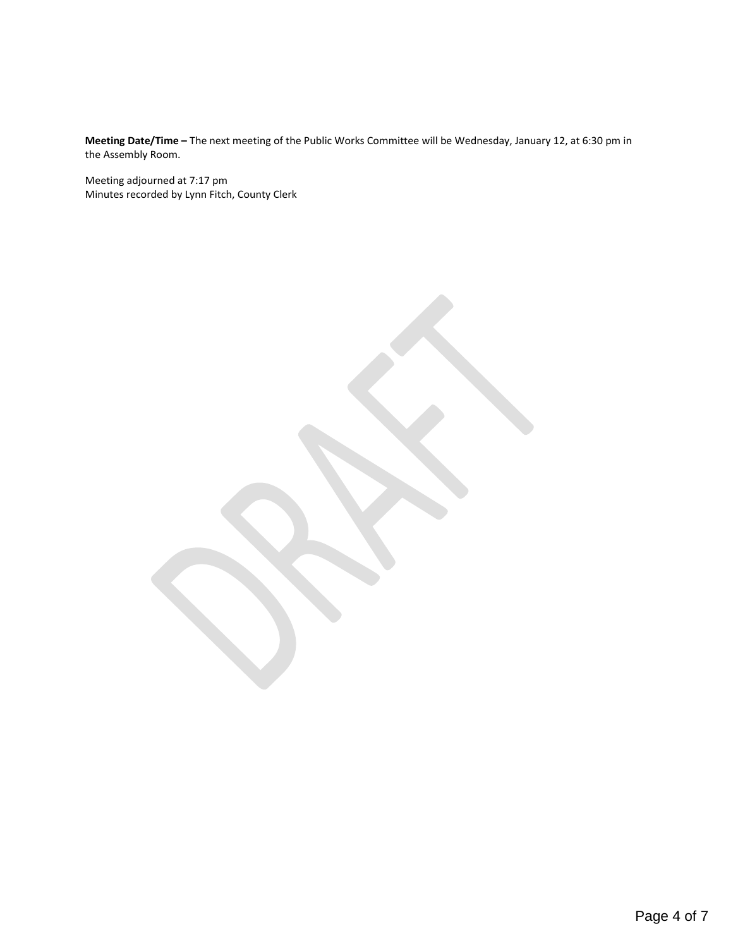**Meeting Date/Time –** The next meeting of the Public Works Committee will be Wednesday, January 12, at 6:30 pm in the Assembly Room.

Meeting adjourned at 7:17 pm Minutes recorded by Lynn Fitch, County Clerk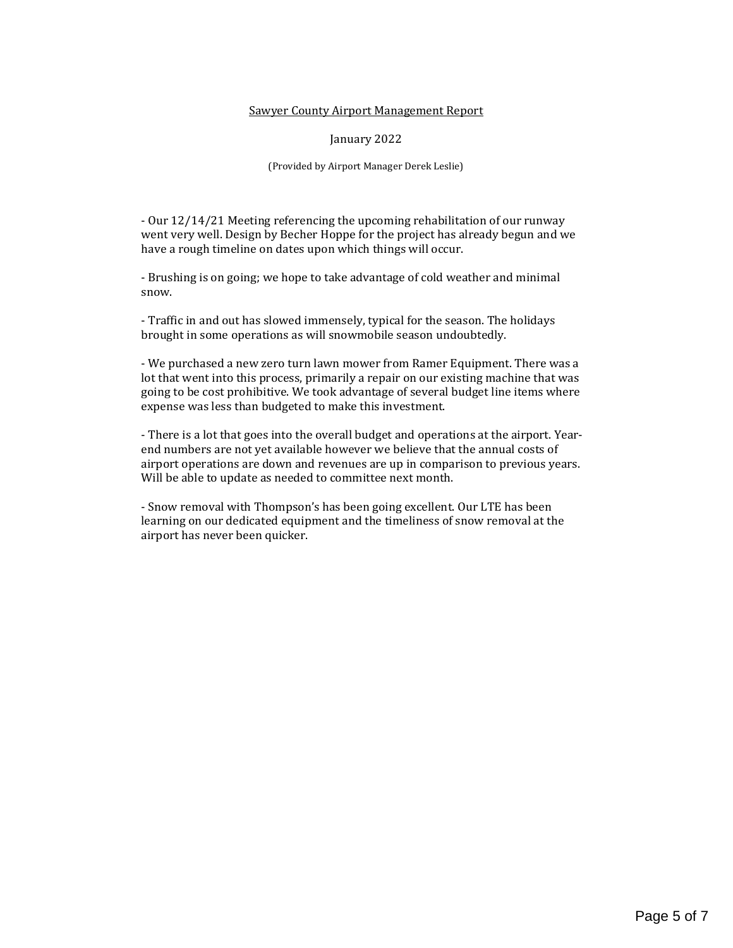#### Sawyer County Airport Management Report

January 2022

(Provided by Airport Manager Derek Leslie)

<span id="page-4-0"></span>- Our 12/14/21 Meeting referencing the upcoming rehabilitation of our runway went very well. Design by Becher Hoppe for the project has already begun and we have a rough timeline on dates upon which things will occur.

- Brushing is on going; we hope to take advantage of cold weather and minimal snow.

- Traffic in and out has slowed immensely, typical for the season. The holidays brought in some operations as will snowmobile season undoubtedly.

- We purchased a new zero turn lawn mower from Ramer Equipment. There was a lot that went into this process, primarily a repair on our existing machine that was going to be cost prohibitive. We took advantage of several budget line items where expense was less than budgeted to make this investment.

- There is a lot that goes into the overall budget and operations at the airport. Yearend numbers are not yet available however we believe that the annual costs of airport operations are down and revenues are up in comparison to previous years. Will be able to update as needed to committee next month.

- Snow removal with Thompson's has been going excellent. Our LTE has been learning on our dedicated equipment and the timeliness of snow removal at the airport has never been quicker.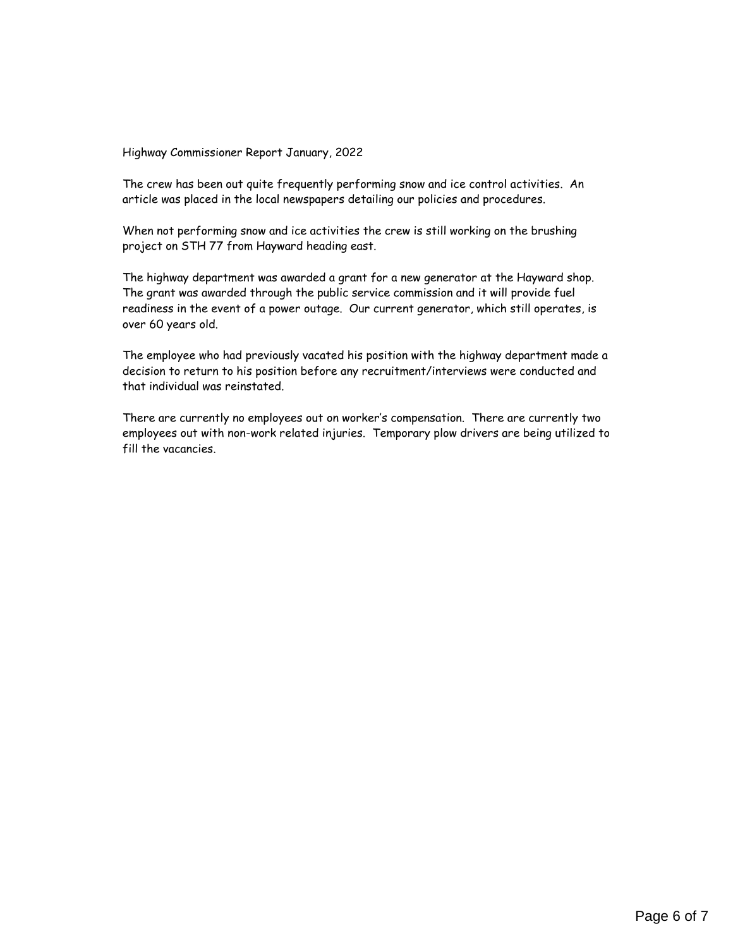<span id="page-5-0"></span>Highway Commissioner Report January, 2022

The crew has been out quite frequently performing snow and ice control activities. An article was placed in the local newspapers detailing our policies and procedures.

When not performing snow and ice activities the crew is still working on the brushing project on STH 77 from Hayward heading east.

The highway department was awarded a grant for a new generator at the Hayward shop. The grant was awarded through the public service commission and it will provide fuel readiness in the event of a power outage. Our current generator, which still operates, is over 60 years old.

The employee who had previously vacated his position with the highway department made a decision to return to his position before any recruitment/interviews were conducted and that individual was reinstated.

There are currently no employees out on worker's compensation. There are currently two employees out with non-work related injuries. Temporary plow drivers are being utilized to fill the vacancies.